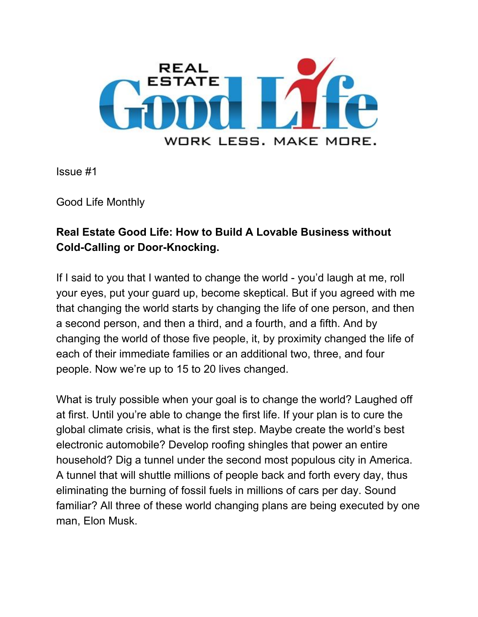

Issue #1

Good Life Monthly

## **Real Estate Good Life: How to Build A Lovable Business without Cold-Calling or Door-Knocking.**

If I said to you that I wanted to change the world - you'd laugh at me, roll your eyes, put your guard up, become skeptical. But if you agreed with me that changing the world starts by changing the life of one person, and then a second person, and then a third, and a fourth, and a fifth. And by changing the world of those five people, it, by proximity changed the life of each of their immediate families or an additional two, three, and four people. Now we're up to 15 to 20 lives changed.

What is truly possible when your goal is to change the world? Laughed off at first. Until you're able to change the first life. If your plan is to cure the global climate crisis, what is the first step. Maybe create the world's best electronic automobile? Develop roofing shingles that power an entire household? Dig a tunnel under the second most populous city in America. A tunnel that will shuttle millions of people back and forth every day, thus eliminating the burning of fossil fuels in millions of cars per day. Sound familiar? All three of these world changing plans are being executed by one man, Elon Musk.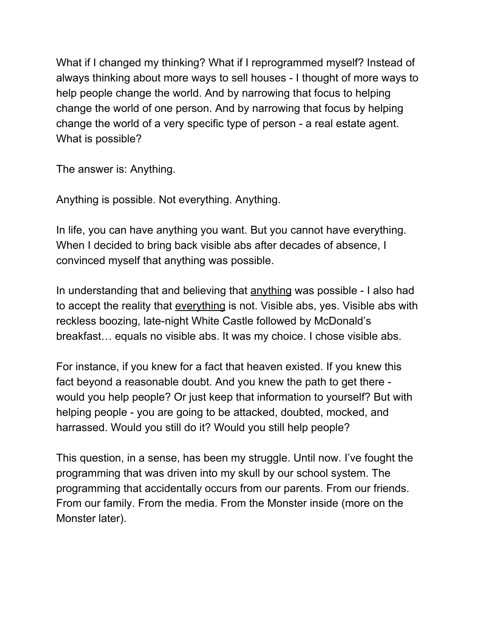What if I changed my thinking? What if I reprogrammed myself? Instead of always thinking about more ways to sell houses - I thought of more ways to help people change the world. And by narrowing that focus to helping change the world of one person. And by narrowing that focus by helping change the world of a very specific type of person - a real estate agent. What is possible?

The answer is: Anything.

Anything is possible. Not everything. Anything.

In life, you can have anything you want. But you cannot have everything. When I decided to bring back visible abs after decades of absence, I convinced myself that anything was possible.

In understanding that and believing that anything was possible - I also had to accept the reality that everything is not. Visible abs, yes. Visible abs with reckless boozing, late-night White Castle followed by McDonald's breakfast… equals no visible abs. It was my choice. I chose visible abs.

For instance, if you knew for a fact that heaven existed. If you knew this fact beyond a reasonable doubt. And you knew the path to get there would you help people? Or just keep that information to yourself? But with helping people - you are going to be attacked, doubted, mocked, and harrassed. Would you still do it? Would you still help people?

This question, in a sense, has been my struggle. Until now. I've fought the programming that was driven into my skull by our school system. The programming that accidentally occurs from our parents. From our friends. From our family. From the media. From the Monster inside (more on the Monster later).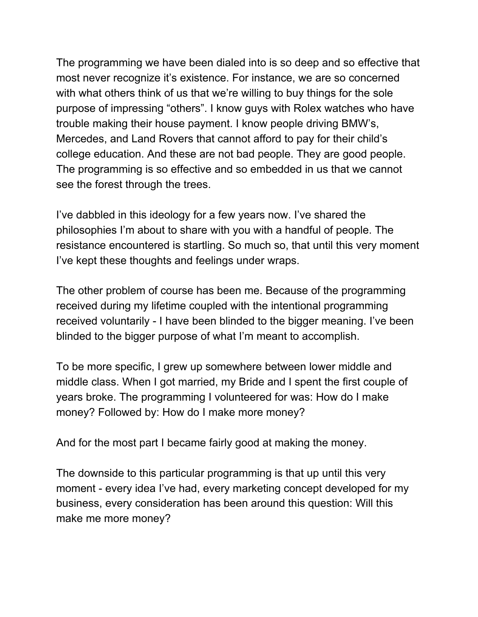The programming we have been dialed into is so deep and so effective that most never recognize it's existence. For instance, we are so concerned with what others think of us that we're willing to buy things for the sole purpose of impressing "others". I know guys with Rolex watches who have trouble making their house payment. I know people driving BMW's, Mercedes, and Land Rovers that cannot afford to pay for their child's college education. And these are not bad people. They are good people. The programming is so effective and so embedded in us that we cannot see the forest through the trees.

I've dabbled in this ideology for a few years now. I've shared the philosophies I'm about to share with you with a handful of people. The resistance encountered is startling. So much so, that until this very moment I've kept these thoughts and feelings under wraps.

The other problem of course has been me. Because of the programming received during my lifetime coupled with the intentional programming received voluntarily - I have been blinded to the bigger meaning. I've been blinded to the bigger purpose of what I'm meant to accomplish.

To be more specific, I grew up somewhere between lower middle and middle class. When I got married, my Bride and I spent the first couple of years broke. The programming I volunteered for was: How do I make money? Followed by: How do I make more money?

And for the most part I became fairly good at making the money.

The downside to this particular programming is that up until this very moment - every idea I've had, every marketing concept developed for my business, every consideration has been around this question: Will this make me more money?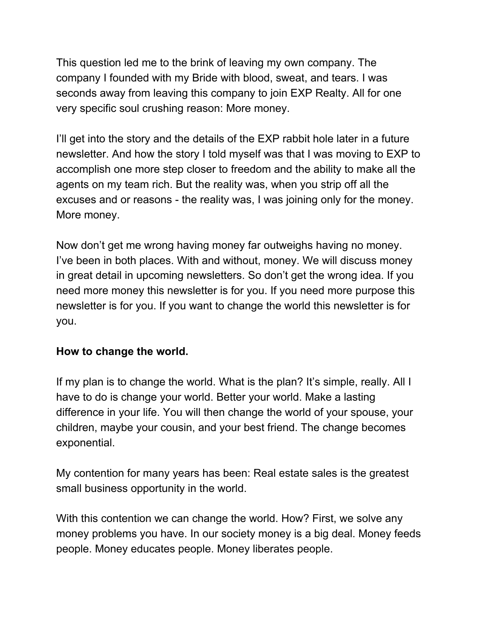This question led me to the brink of leaving my own company. The company I founded with my Bride with blood, sweat, and tears. I was seconds away from leaving this company to join EXP Realty. All for one very specific soul crushing reason: More money.

I'll get into the story and the details of the EXP rabbit hole later in a future newsletter. And how the story I told myself was that I was moving to EXP to accomplish one more step closer to freedom and the ability to make all the agents on my team rich. But the reality was, when you strip off all the excuses and or reasons - the reality was, I was joining only for the money. More money.

Now don't get me wrong having money far outweighs having no money. I've been in both places. With and without, money. We will discuss money in great detail in upcoming newsletters. So don't get the wrong idea. If you need more money this newsletter is for you. If you need more purpose this newsletter is for you. If you want to change the world this newsletter is for you.

## **How to change the world.**

If my plan is to change the world. What is the plan? It's simple, really. All I have to do is change your world. Better your world. Make a lasting difference in your life. You will then change the world of your spouse, your children, maybe your cousin, and your best friend. The change becomes exponential.

My contention for many years has been: Real estate sales is the greatest small business opportunity in the world.

With this contention we can change the world. How? First, we solve any money problems you have. In our society money is a big deal. Money feeds people. Money educates people. Money liberates people.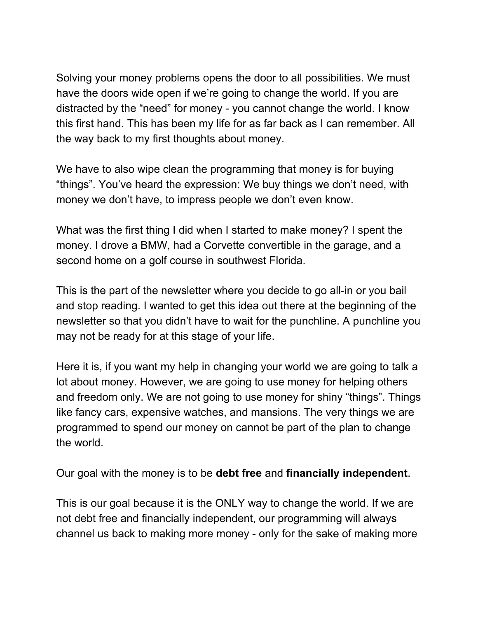Solving your money problems opens the door to all possibilities. We must have the doors wide open if we're going to change the world. If you are distracted by the "need" for money - you cannot change the world. I know this first hand. This has been my life for as far back as I can remember. All the way back to my first thoughts about money.

We have to also wipe clean the programming that money is for buying "things". You've heard the expression: We buy things we don't need, with money we don't have, to impress people we don't even know.

What was the first thing I did when I started to make money? I spent the money. I drove a BMW, had a Corvette convertible in the garage, and a second home on a golf course in southwest Florida.

This is the part of the newsletter where you decide to go all-in or you bail and stop reading. I wanted to get this idea out there at the beginning of the newsletter so that you didn't have to wait for the punchline. A punchline you may not be ready for at this stage of your life.

Here it is, if you want my help in changing your world we are going to talk a lot about money. However, we are going to use money for helping others and freedom only. We are not going to use money for shiny "things". Things like fancy cars, expensive watches, and mansions. The very things we are programmed to spend our money on cannot be part of the plan to change the world.

Our goal with the money is to be **debt free** and **financially independent**.

This is our goal because it is the ONLY way to change the world. If we are not debt free and financially independent, our programming will always channel us back to making more money - only for the sake of making more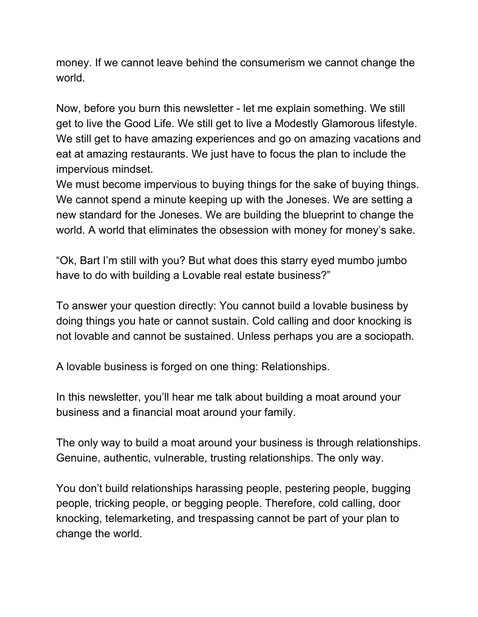money. If we cannot leave behind the consumerism we cannot change the world.

Now, before you burn this newsletter - let me explain something. We still get to live the Good Life. We still get to live a Modestly Glamorous lifestyle. We still get to have amazing experiences and go on amazing vacations and eat at amazing restaurants. We just have to focus the plan to include the impervious mindset.

We must become impervious to buying things for the sake of buying things. We cannot spend a minute keeping up with the Joneses. We are setting a new standard for the Joneses. We are building the blueprint to change the world. A world that eliminates the obsession with money for money's sake.

"Ok, Bart I'm still with you? But what does this starry eyed mumbo jumbo have to do with building a Lovable real estate business?"

To answer your question directly: You cannot build a lovable business by doing things you hate or cannot sustain. Cold calling and door knocking is not lovable and cannot be sustained. Unless perhaps you are a sociopath.

A lovable business is forged on one thing: Relationships.

In this newsletter, you'll hear me talk about building a moat around your business and a financial moat around your family.

The only way to build a moat around your business is through relationships. Genuine, authentic, vulnerable, trusting relationships. The only way.

You don't build relationships harassing people, pestering people, bugging people, tricking people, or begging people. Therefore, cold calling, door knocking, telemarketing, and trespassing cannot be part of your plan to change the world.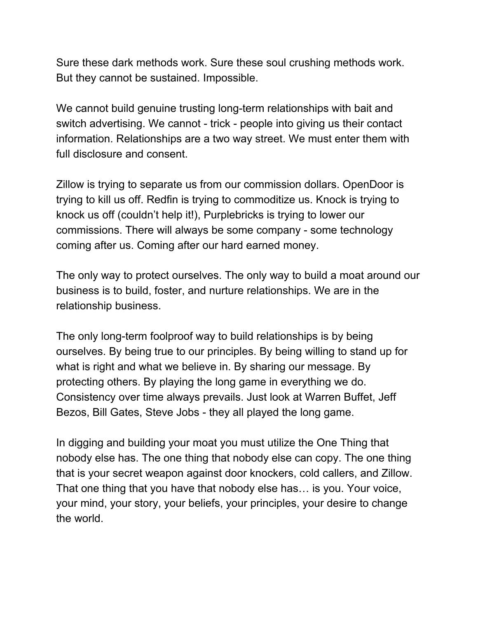Sure these dark methods work. Sure these soul crushing methods work. But they cannot be sustained. Impossible.

We cannot build genuine trusting long-term relationships with bait and switch advertising. We cannot - trick - people into giving us their contact information. Relationships are a two way street. We must enter them with full disclosure and consent.

Zillow is trying to separate us from our commission dollars. OpenDoor is trying to kill us off. Redfin is trying to commoditize us. Knock is trying to knock us off (couldn't help it!), Purplebricks is trying to lower our commissions. There will always be some company - some technology coming after us. Coming after our hard earned money.

The only way to protect ourselves. The only way to build a moat around our business is to build, foster, and nurture relationships. We are in the relationship business.

The only long-term foolproof way to build relationships is by being ourselves. By being true to our principles. By being willing to stand up for what is right and what we believe in. By sharing our message. By protecting others. By playing the long game in everything we do. Consistency over time always prevails. Just look at Warren Buffet, Jeff Bezos, Bill Gates, Steve Jobs - they all played the long game.

In digging and building your moat you must utilize the One Thing that nobody else has. The one thing that nobody else can copy. The one thing that is your secret weapon against door knockers, cold callers, and Zillow. That one thing that you have that nobody else has… is you. Your voice, your mind, your story, your beliefs, your principles, your desire to change the world.